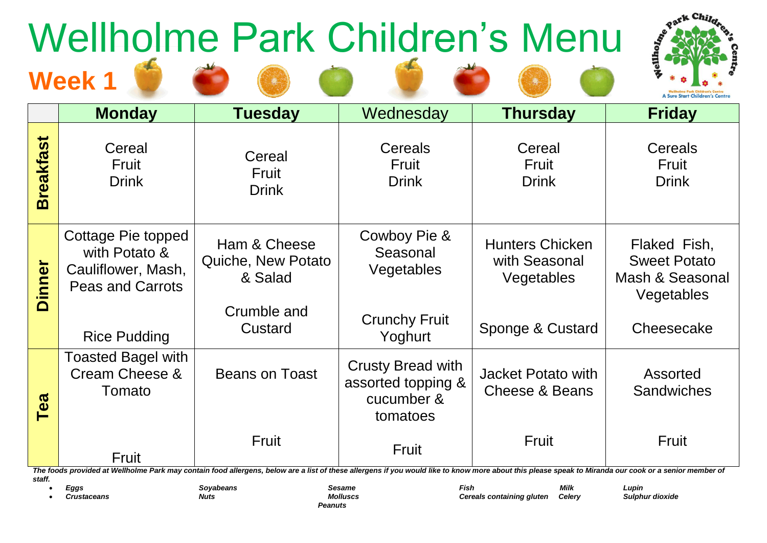## **Week 1** Wellholme Park Children's Menu

**START COM** 



|                  |                                                                                      |                                                                                                                                                                                                                |                                                                          |                                                       | Wellholme Park Children's Centre<br>A Sure Start Children's Centre   |
|------------------|--------------------------------------------------------------------------------------|----------------------------------------------------------------------------------------------------------------------------------------------------------------------------------------------------------------|--------------------------------------------------------------------------|-------------------------------------------------------|----------------------------------------------------------------------|
|                  | <b>Monday</b>                                                                        | <b>Tuesday</b>                                                                                                                                                                                                 | Wednesday                                                                | <b>Thursday</b>                                       | <b>Friday</b>                                                        |
| <b>Breakfast</b> | Cereal<br>Fruit<br><b>Drink</b>                                                      | Cereal<br><b>Fruit</b><br><b>Drink</b>                                                                                                                                                                         | <b>Cereals</b><br>Fruit<br><b>Drink</b>                                  | Cereal<br>Fruit<br><b>Drink</b>                       | Cereals<br>Fruit<br><b>Drink</b>                                     |
| <b>Dinner</b>    | Cottage Pie topped<br>with Potato &<br>Cauliflower, Mash,<br><b>Peas and Carrots</b> | Ham & Cheese<br>Quiche, New Potato<br>& Salad<br>Crumble and                                                                                                                                                   | Cowboy Pie &<br>Seasonal<br>Vegetables                                   | <b>Hunters Chicken</b><br>with Seasonal<br>Vegetables | Flaked Fish,<br><b>Sweet Potato</b><br>Mash & Seasonal<br>Vegetables |
|                  | <b>Rice Pudding</b>                                                                  | Custard                                                                                                                                                                                                        | <b>Crunchy Fruit</b><br>Yoghurt                                          | Sponge & Custard                                      | Cheesecake                                                           |
| Tea              | <b>Toasted Bagel with</b><br>Cream Cheese &<br>Tomato                                | <b>Beans on Toast</b>                                                                                                                                                                                          | <b>Crusty Bread with</b><br>assorted topping &<br>cucumber &<br>tomatoes | Jacket Potato with<br><b>Cheese &amp; Beans</b>       | Assorted<br><b>Sandwiches</b>                                        |
|                  | Fruit                                                                                | Fruit<br>The foods provided at Wellholme Park may contain food allergens, below are a list of these allergens if you would like to know more about this please speak to Miranda our cook or a senior member of | Fruit                                                                    | Fruit                                                 | <b>Fruit</b>                                                         |

*staff.*

*Peanuts*

• *Eggs Soyabeans Sesame Fish Milk Lupin* • *Crustaceans Nuts Molluscs Cereals containing gluten Celery Sulphur dioxide*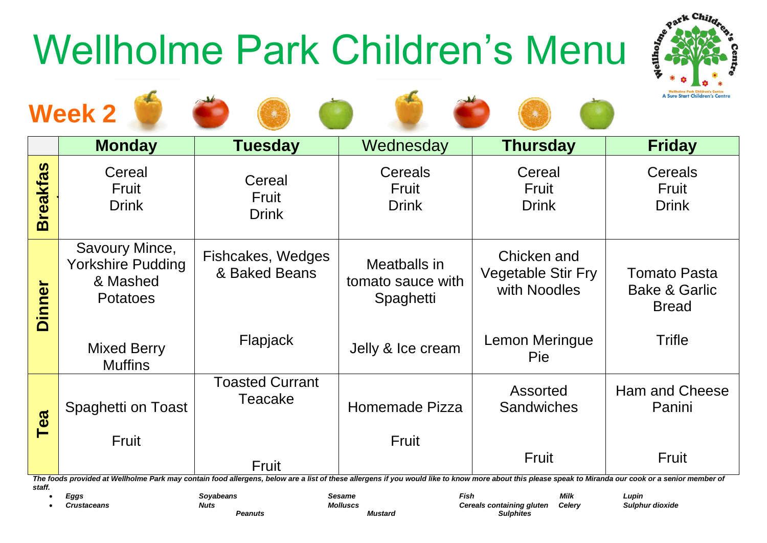## Wellholme Park Children's Menu



| <b>A Sure Start Children's Centre</b><br><b>Week 2</b> |                                                                           |                                                                                                                                                                                                                       |                                                |                                                          |                                                                 |
|--------------------------------------------------------|---------------------------------------------------------------------------|-----------------------------------------------------------------------------------------------------------------------------------------------------------------------------------------------------------------------|------------------------------------------------|----------------------------------------------------------|-----------------------------------------------------------------|
|                                                        | <b>Monday</b>                                                             | <b>Tuesday</b>                                                                                                                                                                                                        | Wednesday                                      | <b>Thursday</b>                                          | <b>Friday</b>                                                   |
| <b>Breakfas</b>                                        | Cereal<br>Fruit<br><b>Drink</b>                                           | Cereal<br>Fruit<br><b>Drink</b>                                                                                                                                                                                       | Cereals<br>Fruit<br><b>Drink</b>               | Cereal<br>Fruit<br><b>Drink</b>                          | Cereals<br>Fruit<br><b>Drink</b>                                |
| $\sum$<br><b>Dinner</b>                                | Savoury Mince,<br><b>Yorkshire Pudding</b><br>& Mashed<br><b>Potatoes</b> | Fishcakes, Wedges<br>& Baked Beans                                                                                                                                                                                    | Meatballs in<br>tomato sauce with<br>Spaghetti | Chicken and<br><b>Vegetable Stir Fry</b><br>with Noodles | <b>Tomato Pasta</b><br><b>Bake &amp; Garlic</b><br><b>Bread</b> |
|                                                        | <b>Mixed Berry</b><br><b>Muffins</b>                                      | Flapjack                                                                                                                                                                                                              | Jelly & Ice cream                              | Lemon Meringue<br><b>Pie</b>                             | <b>Trifle</b>                                                   |
| Tea                                                    | Spaghetti on Toast                                                        | <b>Toasted Currant</b><br>Teacake                                                                                                                                                                                     | Homemade Pizza                                 | <b>Assorted</b><br><b>Sandwiches</b>                     | <b>Ham and Cheese</b><br>Panini                                 |
|                                                        | Fruit                                                                     | <b>Fruit</b><br>The foods provided at Wellbelme Park may contain food allergens, below are a list of these allergens if you would like to know mere about this please speak to Miranda our sook or a senior member of | Fruit                                          | Fruit                                                    | Fruit                                                           |

*The foods provided at Wellholme Park may contain food allergens, below are a list of these allergens if you would like to know more about this please speak to Miranda our cook or a senior member of staff.*

**Peanuts** *Mustard* 

• *Eggs Soyabeans Sesame Fish Milk Lupin* • *Crustaceans Nuts Molluscs Cereals containing gluten Celery Sulphur dioxide*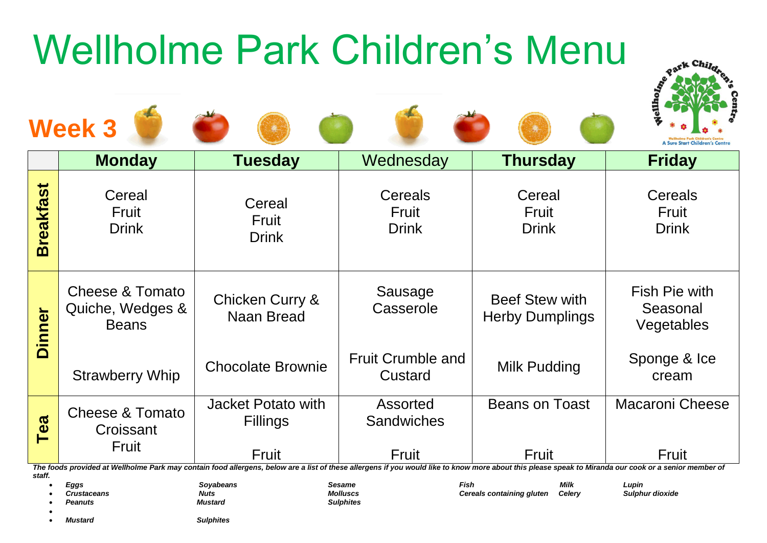## Wellholme Park Children's Menu











|                  | <b>Monday</b>                                       | <b>Tuesday</b>                               | Wednesday                           | <b>Thursday</b>                                 | <b>Friday</b>                           |
|------------------|-----------------------------------------------------|----------------------------------------------|-------------------------------------|-------------------------------------------------|-----------------------------------------|
| <b>Breakfast</b> | Cereal<br>Fruit<br><b>Drink</b>                     | Cereal<br>Fruit<br><b>Drink</b>              | Cereals<br>Fruit<br><b>Drink</b>    | Cereal<br>Fruit<br><b>Drink</b>                 | <b>Cereals</b><br>Fruit<br><b>Drink</b> |
| Dinner           | Cheese & Tomato<br>Quiche, Wedges &<br><b>Beans</b> | Chicken Curry &<br>Naan Bread                | Sausage<br>Casserole                | <b>Beef Stew with</b><br><b>Herby Dumplings</b> | Fish Pie with<br>Seasonal<br>Vegetables |
|                  | <b>Strawberry Whip</b>                              | <b>Chocolate Brownie</b>                     | <b>Fruit Crumble and</b><br>Custard | Milk Pudding                                    | Sponge & Ice<br>cream                   |
| Tea              | Cheese & Tomato<br>Croissant                        | <b>Jacket Potato with</b><br><b>Fillings</b> | Assorted<br><b>Sandwiches</b>       | <b>Beans on Toast</b>                           | <b>Macaroni Cheese</b>                  |
|                  | Fruit                                               | Fruit                                        | Fruit                               | <b>Fruit</b>                                    | Fruit                                   |

*The foods provided at Wellholme Park may contain food allergens, below are a list of these allergens if you would like to know more about this please speak to Miranda our cook or a senior member of staff.*

• *Eggs Soyabeans Sesame Fish Milk Lupin*

• *Crustaceans Nuts Molluscs Cereals containing gluten Celery Sulphur dioxide*

• *Peanuts Mustard Sulphites*

•

• *Mustard Sulphites*